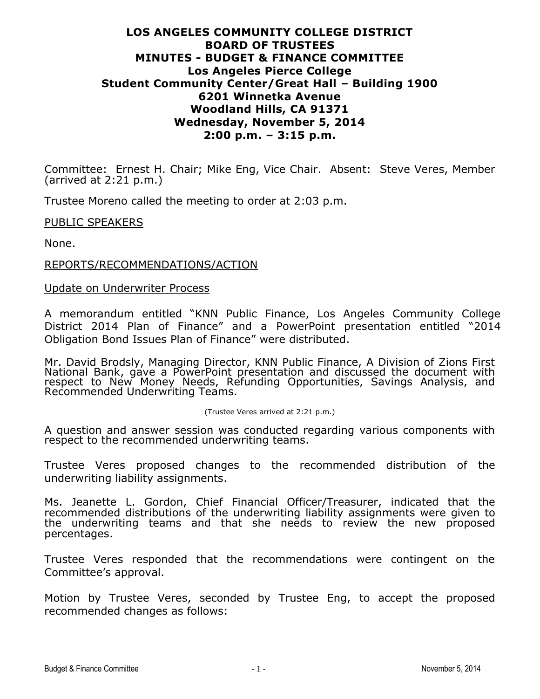# **LOS ANGELES COMMUNITY COLLEGE DISTRICT BOARD OF TRUSTEES MINUTES - BUDGET & FINANCE COMMITTEE Los Angeles Pierce College Student Community Center/Great Hall – Building 1900 6201 Winnetka Avenue Woodland Hills, CA 91371 Wednesday, November 5, 2014 2:00 p.m. – 3:15 p.m.**

Committee: Ernest H. Chair; Mike Eng, Vice Chair. Absent: Steve Veres, Member (arrived at 2:21 p.m.)

Trustee Moreno called the meeting to order at 2:03 p.m.

## PUBLIC SPEAKERS

None.

## REPORTS/RECOMMENDATIONS/ACTION

## Update on Underwriter Process

A memorandum entitled "KNN Public Finance, Los Angeles Community College District 2014 Plan of Finance" and a PowerPoint presentation entitled "2014 Obligation Bond Issues Plan of Finance" were distributed.

Mr. David Brodsly, Managing Director, KNN Public Finance, A Division of Zions First National Bank, gave a PowerPoint presentation and discussed the document with respect to New Money Needs, Refunding Opportunities, Savings Analysis, and Recommended Underwriting Teams.

#### (Trustee Veres arrived at 2:21 p.m.)

A question and answer session was conducted regarding various components with respect to the recommended underwriting teams.

Trustee Veres proposed changes to the recommended distribution of the underwriting liability assignments.

Ms. Jeanette L. Gordon, Chief Financial Officer/Treasurer, indicated that the recommended distributions of the underwriting liability assignments were given to the underwriting teams and that she needs to review the new proposed percentages.

Trustee Veres responded that the recommendations were contingent on the Committee's approval.

Motion by Trustee Veres, seconded by Trustee Eng, to accept the proposed recommended changes as follows: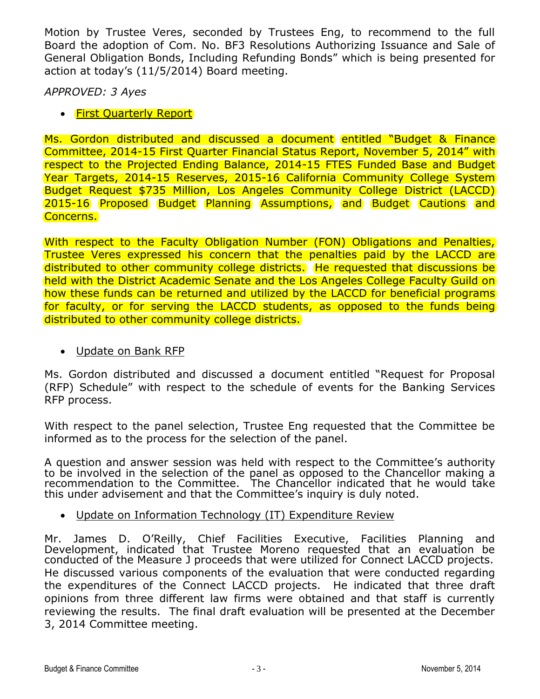Motion by Trustee Veres, seconded by Trustees Eng, to recommend to the full Board the adoption of Com. No. BF3 Resolutions Authorizing Issuance and Sale of General Obligation Bonds, Including Refunding Bonds" which is being presented for action at today's (11/5/2014) Board meeting.

*APPROVED: 3 Ayes*

• First Quarterly Report

Ms. Gordon distributed and discussed a document entitled "Budget & Finance Committee, 2014-15 First Quarter Financial Status Report, November 5, 2014" with respect to the Projected Ending Balance, 2014-15 FTES Funded Base and Budget Year Targets, 2014-15 Reserves, 2015-16 California Community College System Budget Request \$735 Million, Los Angeles Community College District (LACCD) 2015-16 Proposed Budget Planning Assumptions, and Budget Cautions and Concerns.

With respect to the Faculty Obligation Number (FON) Obligations and Penalties, Trustee Veres expressed his concern that the penalties paid by the LACCD are distributed to other community college districts. He requested that discussions be held with the District Academic Senate and the Los Angeles College Faculty Guild on how these funds can be returned and utilized by the LACCD for beneficial programs for faculty, or for serving the LACCD students, as opposed to the funds being distributed to other community college districts.

Update on Bank RFP

Ms. Gordon distributed and discussed a document entitled "Request for Proposal (RFP) Schedule" with respect to the schedule of events for the Banking Services RFP process.

With respect to the panel selection, Trustee Eng requested that the Committee be informed as to the process for the selection of the panel.

A question and answer session was held with respect to the Committee's authority to be involved in the selection of the panel as opposed to the Chancellor making a recommendation to the Committee. The Chancellor indicated that he would take this under advisement and that the Committee's inquiry is duly noted.

Update on Information Technology (IT) Expenditure Review

Mr. James D. O'Reilly, Chief Facilities Executive, Facilities Planning and Development, indicated that Trustee Moreno requested that an evaluation be conducted of the Measure J proceeds that were utilized for Connect LACCD projects. He discussed various components of the evaluation that were conducted regarding the expenditures of the Connect LACCD projects. He indicated that three draft opinions from three different law firms were obtained and that staff is currently reviewing the results. The final draft evaluation will be presented at the December 3, 2014 Committee meeting.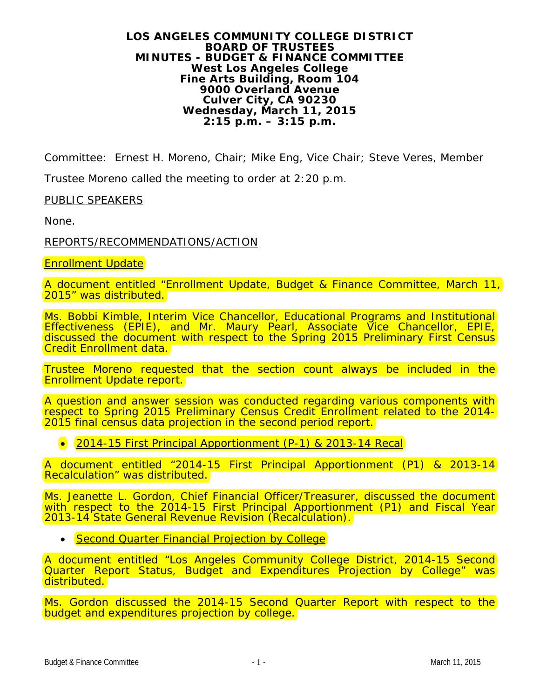#### **LOS ANGELES COMMUNITY COLLEGE DISTRICT BOARD OF TRUSTEES MINUTES - BUDGET & FINANCE COMMITTEE West Los Angeles College Fine Arts Building, Room 104 9000 Overland Avenue Culver City, CA 90230 Wednesday, March 11, 2015 2:15 p.m. – 3:15 p.m.**

Committee: Ernest H. Moreno, Chair; Mike Eng, Vice Chair; Steve Veres, Member

Trustee Moreno called the meeting to order at 2:20 p.m.

PUBLIC SPEAKERS

None.

REPORTS/RECOMMENDATIONS/ACTION

Enrollment Update

A document entitled "Enrollment Update, Budget & Finance Committee, March 11, 2015" was distributed.

Ms. Bobbi Kimble, Interim Vice Chancellor, Educational Programs and Institutional Effectiveness (EPIE), and Mr. Maury Pearl, Associate Vice Chancellor, EPIE, discussed the document with respect to the Spring 2015 Preliminary First Census Credit Enrollment data.

Trustee Moreno requested that the section count always be included in the Enrollment Update report.

A question and answer session was conducted regarding various components with respect to Spring 2015 Preliminary Census Credit Enrollment related to the 2014- 2015 final census data projection in the second period report.

• 2014-15 First Principal Apportionment (P-1) & 2013-14 Recal

A document entitled "2014-15 First Principal Apportionment (P1) & 2013-14 Recalculation" was distributed.

Ms. Jeanette L. Gordon, Chief Financial Officer/Treasurer, discussed the document with respect to the 2014-15 First Principal Apportionment (P1) and Fiscal Year 2013-14 State General Revenue Revision (Recalculation).

• Second Quarter Financial Projection by College

A document entitled "Los Angeles Community College District, 2014-15 Second Quarter Report Status, Budget and Expenditures Projection by College" was distributed.

Ms. Gordon discussed the 2014-15 Second Quarter Report with respect to the budget and expenditures projection by college.